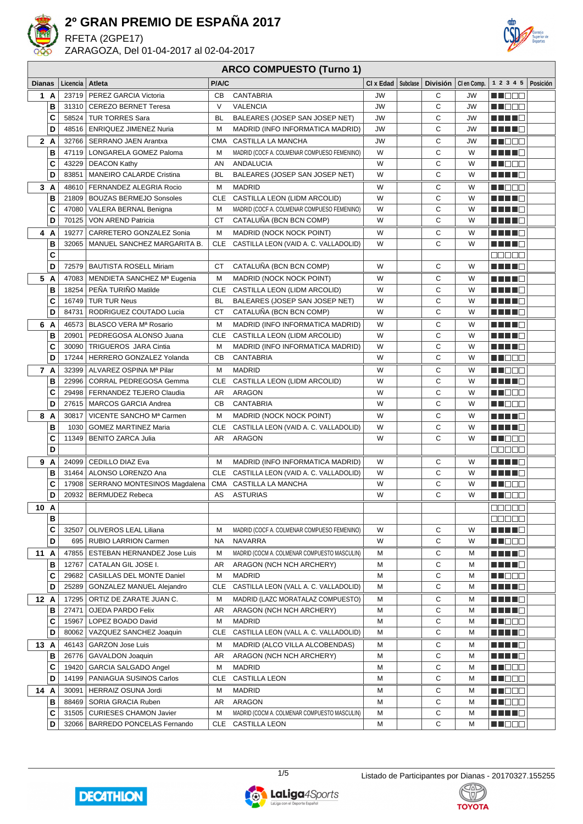

RFETA (2GPE17)

ZARAGOZA, Del 01-04-2017 al 02-04-2017



#### **ARCO COMPUESTO (Turno 1)**

| <b>Dianas</b> |        | Licencia   Atleta |                                                        | P/A/C      |                                              | $CI \times$ Edad $ $ Subclase | <b>División</b> | CI en Comp. | 1 2 3 4 5   Posición    |  |
|---------------|--------|-------------------|--------------------------------------------------------|------------|----------------------------------------------|-------------------------------|-----------------|-------------|-------------------------|--|
|               | 1 A    | 23719             | PEREZ GARCIA Victoria                                  | <b>CB</b>  | <b>CANTABRIA</b>                             | <b>JW</b>                     | С               | JW          | n i Biblio              |  |
|               | B      | 31310             | <b>CEREZO BERNET Teresa</b>                            | $\vee$     | <b>VALENCIA</b>                              | <b>JW</b>                     | C               | <b>JW</b>   | MA KATA                 |  |
|               | C      | 58524             | <b>TUR TORRES Sara</b>                                 | <b>BL</b>  | BALEARES (JOSEP SAN JOSEP NET)               | <b>JW</b>                     | C               | JW          |                         |  |
|               | D      | 48516             | <b>ENRIQUEZ JIMENEZ Nuria</b>                          | M          | MADRID (INFO INFORMATICA MADRID)             | JW                            | C               | JW          | Martin B                |  |
|               | 2A     | 32766             | <b>SERRANO JAEN Arantxa</b>                            | <b>CMA</b> | CASTILLA LA MANCHA                           | JW                            | С               | JW          | n na sa                 |  |
|               | в      | 47119             | LONGARELA GOMEZ Paloma                                 | М          | MADRID (COCF A. COLMENAR COMPUESO FEMENINO)  | W                             | C               | W           | <u> El Berto de la </u> |  |
|               | C      | 43229             | <b>DEACON Kathy</b>                                    | AN         | ANDALUCIA                                    | W                             | C               | W           | MU O O O                |  |
|               | D      | 83851             | MANEIRO CALARDE Cristina                               | BL         | BALEARES (JOSEP SAN JOSEP NET)               | W                             | C               | W           | <u> Helena B</u>        |  |
|               | 3A     | 48610             | FERNANDEZ ALEGRIA Rocio                                | М          | <b>MADRID</b>                                | W                             | С               | W           | M DO O                  |  |
|               | B      | 21809             | <b>BOUZAS BERMEJO Sonsoles</b>                         | CLE        | CASTILLA LEON (LIDM ARCOLID)                 | W                             | C               | W           | H H H E                 |  |
|               | C      | 47080             | VALERA BERNAL Benigna                                  | M          | MADRID (COCF A. COLMENAR COMPUESO FEMENINO)  | W                             | C               | W           |                         |  |
|               | D      | 70125             | VON AREND Patricia                                     | <b>CT</b>  | CATALUNA (BCN BCN COMP)                      | W                             | C               | W           |                         |  |
|               | 4 A    | 19277             | CARRETERO GONZALEZ Sonia                               | М          | MADRID (NOCK NOCK POINT)                     | W                             | С               | W           | MA MARIT                |  |
|               | B      | 32065             | MANUEL SANCHEZ MARGARITA B.                            | <b>CLE</b> | CASTILLA LEON (VAID A. C. VALLADOLID)        | W                             | C               | W           | a di secondo            |  |
|               | C      |                   |                                                        |            |                                              |                               |                 |             | anna                    |  |
|               | D      |                   | 72579   BAUTISTA ROSELL Miriam                         | <b>CT</b>  | CATALUÑA (BCN BCN COMP)                      | W                             | C               | W           | n na man                |  |
|               | 5 A    |                   | 47083   MENDIETA SANCHEZ Mª Eugenia                    | м          | <b>MADRID (NOCK NOCK POINT)</b>              | W                             | С               | W           | Martin Ba               |  |
|               | B      | 18254             | PEÑA TURIÑO Matilde                                    | CLE        | CASTILLA LEON (LIDM ARCOLID)                 | W                             | C               | W           | ma mata                 |  |
|               | C      | 16749             | <b>TUR TUR Neus</b>                                    | BL         | BALEARES (JOSEP SAN JOSEP NET)               | W                             | С               | W           | MA MARINA               |  |
|               | D      | 84731             | RODRIGUEZ COUTADO Lucia                                | СT         | CATALUÑA (BCN BCN COMP)                      | W                             | С               | W           | Martin B                |  |
|               | 6 A    | 46573             | BLASCO VERA Mª Rosario                                 | M          | MADRID (INFO INFORMATICA MADRID)             | W                             | С               | W           | ma mata                 |  |
|               | в      | 20901             | PEDREGOSA ALONSO Juana                                 | <b>CLE</b> | CASTILLA LEON (LIDM ARCOLID)                 | W                             | С               | W           | Martin Ba               |  |
|               | C      | 30090             | TRIGUEROS JARA Cintia                                  | М          | MADRID (INFO INFORMATICA MADRID)             | W                             | C               | W           | H H H O                 |  |
|               | D      | 17244             | HERRERO GONZALEZ Yolanda                               | CВ         | <b>CANTABRIA</b>                             | W                             | C               | W           | M NOOC                  |  |
|               | 7 A    | 32399             | ALVAREZ OSPINA Mª Pilar                                | м          | <b>MADRID</b>                                | W                             | С               | W           | M NOOC                  |  |
|               | B      | 22996             | CORRAL PEDREGOSA Gemma                                 | CLE        | CASTILLA LEON (LIDM ARCOLID)                 | W                             | C               | W           | MA MARIT                |  |
|               | C      | 29498             | FERNANDEZ TEJERO Claudia                               | AR         | ARAGON                                       | W                             | C               | W           | <u> Here</u>            |  |
|               | D      | 27615             | MARCOS GARCIA Andrea                                   | CВ         | <b>CANTABRIA</b>                             | W                             | C               | W           | en de la c              |  |
|               | 8 A    | 30817             | VICENTE SANCHO Mª Carmen                               | М          | <b>MADRID (NOCK NOCK POINT)</b>              | W                             | С               | W           | ma mata                 |  |
|               | В      | 1030              | <b>GOMEZ MARTINEZ Maria</b>                            | CLE        | CASTILLA LEON (VAID A. C. VALLADOLID)        | W                             | C               | W           | MA MAR                  |  |
|               | C      | 11349             | <b>BENITO ZARCA Julia</b>                              | AR         | ARAGON                                       | W                             | C               | W           | M D D D                 |  |
|               | D      |                   |                                                        |            |                                              |                               |                 |             | 00000                   |  |
|               | 9 A    | 24099             | <b>CEDILLO DIAZ Eva</b>                                | м          | MADRID (INFO INFORMATICA MADRID)             | W                             | С               | W           | H H H O                 |  |
|               | в      |                   | 31464   ALONSO LORENZO Ana                             |            | CLE CASTILLA LEON (VAID A. C. VALLADOLID)    | W                             | C               | W<br>W      | HH 11 10                |  |
|               | c<br>D | 17908<br>20932    | SERRANO MONTESINOS Magdalena<br><b>BERMUDEZ Rebeca</b> | AS         | CMA CASTILLA LA MANCHA<br><b>ASTURIAS</b>    | W<br>W                        | C<br>C          | W           | M DE B<br>M NOOC        |  |
|               |        |                   |                                                        |            |                                              |                               |                 |             |                         |  |
|               | 10 A   |                   |                                                        |            |                                              |                               |                 |             | 88888<br>ana ao         |  |
|               | в<br>C | 32507             | OLIVEROS LEAL Liliana                                  | M          | MADRID (COCF A. COLMENAR COMPUESO FEMENINO)  | W                             | С               | W           | HH H H                  |  |
|               | D      | 695               | <b>RUBIO LARRION Carmen</b>                            | NA         | <b>NAVARRA</b>                               | W                             | С               | W           | M D D D                 |  |
| 11            | A      | 47855             | <b>ESTEBAN HERNANDEZ Jose Luis</b>                     | M          | MADRID (COCM A. COLMENAR COMPUESTO MASCULIN) | М                             | С               | М           | MANT E                  |  |
|               | в      | 12767             | CATALAN GIL JOSE I.                                    | AR         | ARAGON (NCH NCH ARCHERY)                     | M                             | С               | М           | <u> Literatura e</u>    |  |
|               | C      | 29682             | CASILLAS DEL MONTE Daniel                              | М          | <b>MADRID</b>                                | M                             | С               | М           | <u> Literatu</u>        |  |
|               | D      | 25289             | GONZALEZ MANUEL Alejandro                              | CLE        | CASTILLA LEON (VALL A. C. VALLADOLID)        | M                             | C               | М           | <u> HELL</u>            |  |
|               | 12A    | 17295             | ORTIZ DE ZARATE JUAN C.                                | М          | MADRID (LAZC MORATALAZ COMPUESTO)            | М                             | С               | М           | H H H O                 |  |
|               | в      | 27471             | OJEDA PARDO Felix                                      | AR         | ARAGON (NCH NCH ARCHERY)                     | M                             | С               | М           | H H H E                 |  |
|               | С      | 15967             | LOPEZ BOADO David                                      | М          | <b>MADRID</b>                                | M                             | С               | М           | M DOO                   |  |
|               | D      | 80062             | VAZQUEZ SANCHEZ Joaquin                                | CLE        | CASTILLA LEON (VALL A. C. VALLADOLID)        | М                             | С               | М           | N E HE                  |  |
| 13 A          |        | 46143             | <b>GARZON Jose Luis</b>                                | М          | MADRID (ALCO VILLA ALCOBENDAS)               | м                             | С               | М           | <u> Literatur</u>       |  |
|               | в      | 26776             | <b>GAVALDON Joaquin</b>                                | AR         | ARAGON (NCH NCH ARCHERY)                     | М                             | С               | М           | <u> Helena e</u>        |  |
|               | С      | 19420             | GARCIA SALGADO Angel                                   | М          | MADRID                                       | М                             | С               | М           | <u> HILLEN</u>          |  |
|               | D      | 14199             | PANIAGUA SUSINOS Carlos                                | CLE        | <b>CASTILLA LEON</b>                         | М                             | C               | M           | <u> Nijele e </u>       |  |
|               | 14 A   | 30091             | HERRAIZ OSUNA Jordi                                    | M          | <b>MADRID</b>                                | M                             | С               | М           | <u> Hees</u>            |  |
|               | в      | 88469             | SORIA GRACIA Ruben                                     | AR         | ARAGON                                       | М                             | C               | M           | <u> Literatur</u>       |  |
|               | C      | 31505             | <b>CURIESES CHAMON Javier</b>                          | M          | MADRID (COCM A. COLMENAR COMPUESTO MASCULIN) | М                             | С               | М           | H H H E                 |  |
|               | D      |                   | 32066   BARREDO PONCELAS Fernando                      |            | CLE CASTILLA LEON                            | М                             | С               | М           | MI DE S                 |  |





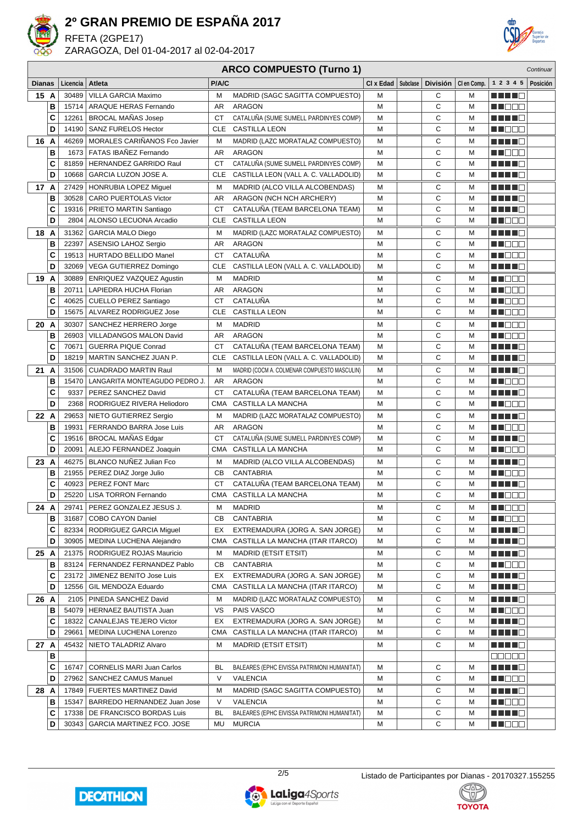

RFETA (2GPE17) ZARAGOZA, Del 01-04-2017 al 02-04-2017



### **ARCO COMPUESTO (Turno 1)**

|               |   |          |                                   |            | UNUO VOINI ULUTO (TUNIO T                    |           |          |                 |             |                                                                                                                                                                                                                                |          |
|---------------|---|----------|-----------------------------------|------------|----------------------------------------------|-----------|----------|-----------------|-------------|--------------------------------------------------------------------------------------------------------------------------------------------------------------------------------------------------------------------------------|----------|
| <b>Dianas</b> |   | Licencia | Atleta                            | P/A/C      |                                              | CI x Edad | Subclase | <b>División</b> | CI en Comp. | 1 2 3 4 5                                                                                                                                                                                                                      | Posición |
| 15 A          |   | 30489    | VILLA GARCIA Maximo               | м          | MADRID (SAGC SAGITTA COMPUESTO)              | м         |          | С               | м           |                                                                                                                                                                                                                                |          |
|               | в | 15714    | <b>ARAQUE HERAS Fernando</b>      | AR         | ARAGON                                       | M         |          | C               | M           | M DO D                                                                                                                                                                                                                         |          |
|               | C | 12261    | <b>BROCAL MANAS Josep</b>         | <b>CT</b>  | CATALUÑA (SUME SUMELL PARDINYES COMP)        | М         |          | C               | М           |                                                                                                                                                                                                                                |          |
|               | D | 14190    | <b>SANZ FURELOS Hector</b>        | CLE        | <b>CASTILLA LEON</b>                         | М         |          | C               | M           | MI DO U                                                                                                                                                                                                                        |          |
| 16 A          |   | 46269    | MORALES CARIÑANOS Fco Javier      | м          | MADRID (LAZC MORATALAZ COMPUESTO)            | М         |          | С               | М           | Martin B                                                                                                                                                                                                                       |          |
|               | В | 1673     | FATAS IBAÑEZ Fernando             | AR         | ARAGON                                       | M         |          | C               | M           | n de e                                                                                                                                                                                                                         |          |
|               | c | 81859    | HERNANDEZ GARRIDO Raul            | <b>CT</b>  | CATALUÑA (SUME SUMELL PARDINYES COMP)        | М         |          | C               | M           | <u> El Branco de la </u>                                                                                                                                                                                                       |          |
|               | D | 10668    | GARCIA LUZON JOSE A.              | CLE        | CASTILLA LEON (VALL A. C. VALLADOLID)        | М         |          | C               | M           | Martin Biblio                                                                                                                                                                                                                  |          |
| 17 A          |   | 27429    | <b>HONRUBIA LOPEZ Miquel</b>      | М          | MADRID (ALCO VILLA ALCOBENDAS)               | М         |          | C               | М           | MA MARINA                                                                                                                                                                                                                      |          |
|               | в | 30528    | <b>CARO PUERTOLAS Victor</b>      | <b>AR</b>  | ARAGON (NCH NCH ARCHERY)                     | М         |          | C               | M           | man di B                                                                                                                                                                                                                       |          |
|               | C | 19316    | PRIETO MARTIN Santiago            | CT         | CATALUÑA (TEAM BARCELONA TEAM)               | М         |          | C               | M           | Martin B                                                                                                                                                                                                                       |          |
|               | D | 2804     | ALONSO LECUONA Arcadio            | CLE        | CASTILLA LEON                                | М         |          | C               | М           | <u> HILLEN</u>                                                                                                                                                                                                                 |          |
| 18 A          |   | 31362    | <b>GARCIA MALO Diego</b>          | М          | MADRID (LAZC MORATALAZ COMPUESTO)            | М         |          | C               | М           | <u> El Bra</u>                                                                                                                                                                                                                 |          |
|               | в | 22397    | ASENSIO LAHOZ Sergio              | AR         | ARAGON                                       | М         |          | C               | М           | M NOCI                                                                                                                                                                                                                         |          |
|               | C | 19513    | HURTADO BELLIDO Manel             | <b>CT</b>  | CATALUÑA                                     | М         |          | C               | М           | <u> DE SE</u>                                                                                                                                                                                                                  |          |
|               | D | 32069    | VEGA GUTIERREZ Domingo            | CLE        | CASTILLA LEON (VALL A. C. VALLADOLID)        | М         |          | C               | М           |                                                                                                                                                                                                                                |          |
| 19 A          |   | 30889    | ENRIQUEZ VAZQUEZ Agustin          | м          | <b>MADRID</b>                                | М         |          | С               | м           | <u> Literatur</u>                                                                                                                                                                                                              |          |
|               | в | 20711    | LAPIEDRA HUCHA Florian            | AR         | <b>ARAGON</b>                                | М         |          | C               | M           | Maria 1999                                                                                                                                                                                                                     |          |
|               | С | 40625    | <b>CUELLO PEREZ Santiago</b>      | СT         | CATALUÑA                                     | М         |          | C               | М           | MT OO O                                                                                                                                                                                                                        |          |
|               | D | 15675    | ALVAREZ RODRIGUEZ Jose            | CLE        | <b>CASTILLA LEON</b>                         | М         |          | C               | М           | M D D D                                                                                                                                                                                                                        |          |
| 20 A          |   | 30307    | SANCHEZ HERRERO Jorge             | м          | <b>MADRID</b>                                | М         |          | C               | М           | M D D D                                                                                                                                                                                                                        |          |
|               | в | 26903    | VILLADANGOS MALON David           | AR         | <b>ARAGON</b>                                | М         |          | C               | M           | en de la p                                                                                                                                                                                                                     |          |
|               | C | 70671    | <b>GUERRA PIQUE Conrad</b>        | CT         | CATALUÑA (TEAM BARCELONA TEAM)               | М         |          | C               | М           | <u> 11   11   12</u>                                                                                                                                                                                                           |          |
|               | D | 18219    | MARTIN SANCHEZ JUAN P.            | CLE        | CASTILLA LEON (VALL A. C. VALLADOLID)        | M         |          | C               | M           | H H H E                                                                                                                                                                                                                        |          |
| 21 A          |   | 31506    | <b>CUADRADO MARTIN Raul</b>       | м          | MADRID (COCM A. COLMENAR COMPUESTO MASCULIN) | М         |          | С               | М           | Martin B                                                                                                                                                                                                                       |          |
|               | в | 15470    | LANGARITA MONTEAGUDO PEDRO J.     | AR         | <b>ARAGON</b>                                | M         |          | C               | M           | MI DE E                                                                                                                                                                                                                        |          |
|               | C | 9337     | PEREZ SANCHEZ David               | CT         | CATALUÑA (TEAM BARCELONA TEAM)               | М         |          | C               | M           | Martin Ba                                                                                                                                                                                                                      |          |
|               | D | 2368     | RODRIGUEZ RIVERA Heliodoro        | <b>CMA</b> | CASTILLA LA MANCHA                           | М         |          | C               | M           | e de la construcción de la construcción de la construcción de la construcción de la construcción de la construcción de la construcción de la construcción de la construcción de la construcción de la construcción de la const |          |
| 22 A          |   | 29653    | NIETO GUTIERREZ Sergio            | М          | MADRID (LAZC MORATALAZ COMPUESTO)            | М         |          | C               | М           | man di ka                                                                                                                                                                                                                      |          |
|               | в | 19931    | FERRANDO BARRA Jose Luis          | AR         | <b>ARAGON</b>                                | М         |          | C               | M           | MT OO O                                                                                                                                                                                                                        |          |
|               | C | 19516    | BROCAL MAÑAS Edgar                | CT         | CATALUÑA (SUME SUMELL PARDINYES COMP)        | М         |          | C               | М           | man di B                                                                                                                                                                                                                       |          |
|               | D | 20091    | ALEJO FERNANDEZ Joaquin           | <b>CMA</b> | CASTILLA LA MANCHA                           | М         |          | C               | М           | MA DE L                                                                                                                                                                                                                        |          |
| 23 A          |   | 46275    | BLANCO NUÑEZ Julian Fco           | М          | MADRID (ALCO VILLA ALCOBENDAS)               | М         |          | C               | М           | a di se                                                                                                                                                                                                                        |          |
|               | в | 21955    | PEREZ DIAZ Jorge Julio            | CB         | <b>CANTABRIA</b>                             | М         |          | C               | М           | M DOO                                                                                                                                                                                                                          |          |
|               | C | 40923    | PEREZ FONT Marc                   | СT         | CATALUÑA (TEAM BARCELONA TEAM)               | М         |          | C               | м           | <u> Literatura de la </u>                                                                                                                                                                                                      |          |
|               | D | 25220    | <b>LISA TORRON Fernando</b>       | CMA        | CASTILLA LA MANCHA                           | M         |          | $\mathsf{C}$    | M           | MI DE S                                                                                                                                                                                                                        |          |
| 24            | A |          | 29741   PEREZ GONZALEZ JESUS J.   | м          | <b>MADRID</b>                                | м         |          | С               | м           | MA DE S                                                                                                                                                                                                                        |          |
|               | в | 31687    | COBO CAYON Daniel                 | CВ         | CANTABRIA                                    | М         |          | C               | М           | <u> El Bell</u>                                                                                                                                                                                                                |          |
|               | c | 82334    | RODRIGUEZ GARCIA Miguel           | EX         | EXTREMADURA (JORG A. SAN JORGE)              | М         |          | С               | М           | <u> Helena e</u>                                                                                                                                                                                                               |          |
|               | D | 30905    | MEDINA LUCHENA Alejandro          | CMA        | CASTILLA LA MANCHA (ITAR ITARCO)             | М         |          | С               | м           | <u> Here i Br</u>                                                                                                                                                                                                              |          |
| 25 A          |   |          | 21375   RODRIGUEZ ROJAS Mauricio  | м          | <b>MADRID (ETSIT ETSIT)</b>                  | М         |          | С               | М           | <u>Lihat dan</u>                                                                                                                                                                                                               |          |
|               | В |          | 83124   FERNANDEZ FERNANDEZ Pablo | CВ         | <b>CANTABRIA</b>                             | М         |          | С               | M           | <u> Heer</u>                                                                                                                                                                                                                   |          |
|               | c | 23172    | JIMENEZ BENITO Jose Luis          | EX         | EXTREMADURA (JORG A. SAN JORGE)              | М         |          | С               | М           | <u> Here i B</u>                                                                                                                                                                                                               |          |
|               | D | 12556    | GIL MENDOZA Eduardo               | CMA        | CASTILLA LA MANCHA (ITAR ITARCO)             | М         |          | С               | М           | <u>Lihat p</u>                                                                                                                                                                                                                 |          |
| 26 A          |   | 2105     | PINEDA SANCHEZ David              | м          | MADRID (LAZC MORATALAZ COMPUESTO)            | М         |          | С               | М           | MA ME                                                                                                                                                                                                                          |          |
|               | В | 54079    | HERNAEZ BAUTISTA Juan             | vs         | PAIS VASCO                                   | М         |          | С               | M           | <u> Die Bilbert von der Erste gehalt gehalt der Erste gehalt gehalt als ein dem Erste ge</u>                                                                                                                                   |          |
|               | c | 18322    | CANALEJAS TEJERO Victor           | EX         | EXTREMADURA (JORG A. SAN JORGE)              | М         |          | C               | M           | <u> El Bratalho de la </u>                                                                                                                                                                                                     |          |
|               | D | 29661    | MEDINA LUCHENA Lorenzo            | CMA        | CASTILLA LA MANCHA (ITAR ITARCO)             | М         |          | С               | М           | <u> Literatur</u>                                                                                                                                                                                                              |          |
| 27 A          |   | 45432    | NIETO TALADRIZ Alvaro             | м          | <b>MADRID (ETSIT ETSIT)</b>                  | М         |          | С               | М           | a da da d                                                                                                                                                                                                                      |          |
|               | в |          |                                   |            |                                              |           |          |                 |             | 88888                                                                                                                                                                                                                          |          |
|               | С | 16747    | <b>CORNELIS MARI Juan Carlos</b>  | <b>BL</b>  | BALEARES (EPHC EIVISSA PATRIMONI HUMANITAT)  | М         |          | С               | М           | <u> Here i Se</u>                                                                                                                                                                                                              |          |
|               | D | 27962    | SANCHEZ CAMUS Manuel              | $\vee$     | VALENCIA                                     | М         |          | С               | М           | MU DE C                                                                                                                                                                                                                        |          |
| 28 A          |   | 17849    | FUERTES MARTINEZ David            | M          | MADRID (SAGC SAGITTA COMPUESTO)              | М         |          | С               | М           | M N N N N                                                                                                                                                                                                                      |          |
|               | В | 15347    | BARREDO HERNANDEZ Juan Jose       | $\vee$     | VALENCIA                                     | М         |          | С               | М           | MU DE S                                                                                                                                                                                                                        |          |
|               | c | 17338    | DE FRANCISCO BORDAS Luis          | BL         | BALEARES (EPHC EIVISSA PATRIMONI HUMANITAT)  | М         |          | С               | М           | <u> 2002 - 20</u>                                                                                                                                                                                                              |          |
|               | D | 30343    | GARCIA MARTINEZ FCO. JOSE         | MU         | <b>MURCIA</b>                                | М         |          | С               | М           | M DE S                                                                                                                                                                                                                         |          |



2/5 Listado de Participantes por Dianas - 20170327.155255

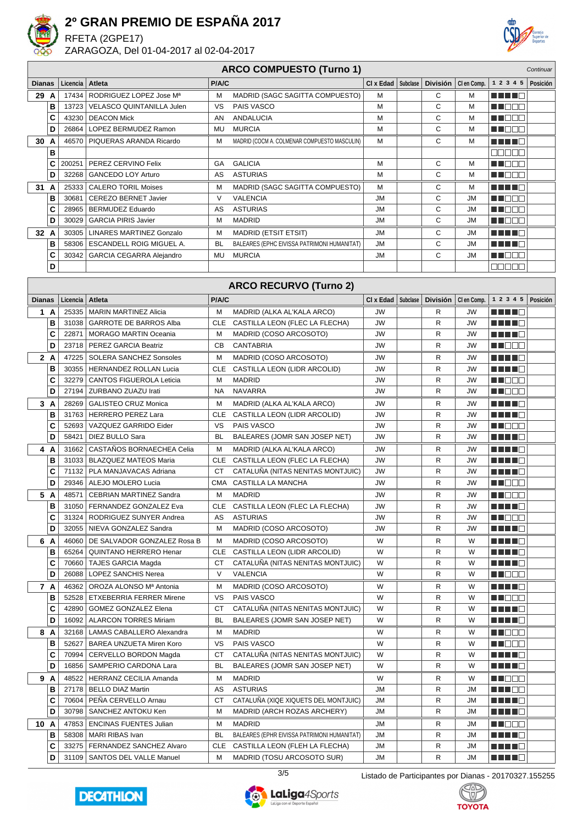

RFETA (2GPE17)



ZARAGOZA, Del 01-04-2017 al 02-04-2017

| <b>ARCO COMPUESTO (Turno 1)</b><br>Continuar |      |          |                                   |            |                                              |           |          |                 |             |                                     |          |
|----------------------------------------------|------|----------|-----------------------------------|------------|----------------------------------------------|-----------|----------|-----------------|-------------|-------------------------------------|----------|
| <b>Dianas</b>                                |      | Licencia | Atleta                            | P/A/C      |                                              | CI x Edad | Subclase | <b>División</b> | CI en Comp. | 1 2 3 4 5                           | Posición |
|                                              | 29 A | 17434    | RODRIGUEZ LOPEZ Jose Ma           | м          | MADRID (SAGC SAGITTA COMPUESTO)              | М         |          | С               | M           |                                     |          |
|                                              | в    | 13723    | <b>VELASCO QUINTANILLA Julen</b>  | VS         | PAIS VASCO                                   | М         |          | С               | M           | M DE S                              |          |
|                                              | C    | 43230    | <b>DEACON Mick</b>                | AN         | ANDALUCIA                                    | М         |          | С               | M           | M NO O                              |          |
|                                              | D    | 26864    | LOPEZ BERMUDEZ Ramon              | MU         | <b>MURCIA</b>                                | M         |          | C               | M           | MN 888                              |          |
|                                              | 30 A | 46570    | PIQUERAS ARANDA Ricardo           | м          | MADRID (COCM A. COLMENAR COMPUESTO MASCULIN) | м         |          | С               | M           | MA MAR                              |          |
|                                              | B    |          |                                   |            |                                              |           |          |                 |             | eeee                                |          |
|                                              | C    | 200251   | PEREZ CERVINO Felix               | GA         | <b>GALICIA</b>                               | M         |          | С               | M           | MT E E E                            |          |
|                                              | D    | 32268    | <b>GANCEDO LOY Arturo</b>         | AS         | <b>ASTURIAS</b>                              | M         |          | C               | M           | MU OO O                             |          |
|                                              | 31 A | 25333    | <b>CALERO TORIL Moises</b>        | M          | MADRID (SAGC SAGITTA COMPUESTO)              | М         |          | С               | М           | MA MARIT                            |          |
|                                              | B    | 30681    | <b>CEREZO BERNET Javier</b>       | $\vee$     | <b>VALENCIA</b>                              | <b>JM</b> |          | С               | <b>JM</b>   | M DE E                              |          |
|                                              | C    | 28965    | <b>BERMUDEZ Eduardo</b>           | AS         | <b>ASTURIAS</b>                              | JM        |          | С               | <b>JM</b>   | N NO BE                             |          |
|                                              | D    | 30029    | <b>GARCIA PIRIS Javier</b>        | М          | <b>MADRID</b>                                | JM        |          | С               | JM          | MI DE S                             |          |
|                                              | 32 A | 30305    | <b>LINARES MARTINEZ Gonzalo</b>   | м          | <b>MADRID (ETSIT ETSIT)</b>                  | <b>JM</b> |          | С               | JM          |                                     |          |
|                                              | B    | 58306    | ESCANDELL ROIG MIGUEL A.          | <b>BL</b>  | BALEARES (EPHC EIVISSA PATRIMONI HUMANITAT)  | JM        |          | С               | JM          | H H H H                             |          |
|                                              | C    | 30342    | <b>GARCIA CEGARRA Alejandro</b>   | MU         | <b>MURCIA</b>                                | JM        |          | C               | JM          | MT E E E                            |          |
|                                              | D    |          |                                   |            |                                              |           |          |                 |             | N N N N N                           |          |
|                                              |      |          |                                   |            | <b>ARCO RECURVO (Turno 2)</b>                |           |          |                 |             |                                     |          |
| <b>Dianas</b>                                |      | Licencia | Atleta                            | P/A/C      |                                              | CI x Edad | Subclase | <b>División</b> | CI en Comp. | 1 2 3 4 5                           | Posición |
|                                              | 1 A  | 25335    | MARIN MARTINEZ Alicia             | M          | MADRID (ALKA AL'KALA ARCO)                   | JW        |          | R               | JW          | M M M M M                           |          |
|                                              | B    | 31038    | <b>GARROTE DE BARROS Alba</b>     | CLE        | CASTILLA LEON (FLEC LA FLECHA)               | <b>JW</b> |          | R               | JW          | n di Tingg                          |          |
|                                              | C    | 22871    | <b>MORAGO MARTIN Oceania</b>      | М          | MADRID (COSO ARCOSOTO)                       | JW        |          | R               | JW          | MA MARINA                           |          |
|                                              | D    |          | 23718   PEREZ GARCIA Beatriz      | CВ         | <b>CANTABRIA</b>                             | <b>JW</b> |          | R               | JW          | N NOOC                              |          |
|                                              | 2 A  | 47225    | <b>SOLERA SANCHEZ Sonsoles</b>    | M          | MADRID (COSO ARCOSOTO)                       | <b>JW</b> |          | R               | JW          | MA MARINA                           |          |
|                                              | B    | 30355    | <b>HERNANDEZ ROLLAN Lucia</b>     | CLE        | CASTILLA LEON (LIDR ARCOLID)                 | JW        |          | R               | <b>JW</b>   | MA MARIT                            |          |
|                                              | C    | 32279    | <b>CANTOS FIGUEROLA Leticia</b>   | M          | <b>MADRID</b>                                | JW        |          | R               | JW          | N I E E E                           |          |
|                                              | D    | 27194    | <b>ZURBANO ZUAZU Irati</b>        | NA         | <b>NAVARRA</b>                               | JW        |          | R               | JW          | M DE B                              |          |
|                                              | 3A   | 28269    | <b>GALISTEO CRUZ Monica</b>       | м          | MADRID (ALKA AL'KALA ARCO)                   | JW        |          | R               | JW          | HH H                                |          |
|                                              | B    | 31763    | <b>HERRERO PEREZ Lara</b>         | CLE        | CASTILLA LEON (LIDR ARCOLID)                 | JW        |          | R               | JW          | MA MAR                              |          |
|                                              | C    | 52693    | VAZQUEZ GARRIDO Eider             | VS         | PAIS VASCO                                   | JW        |          | R               | JW          | MT E E E                            |          |
|                                              | D    | 58421    | DIEZ BULLO Sara                   | <b>BL</b>  | BALEARES (JOMR SAN JOSEP NET)                | JW        |          | R               | JW          | <u> Literatur</u>                   |          |
|                                              | 4 A  | 31662    | CASTAÑOS BORNAECHEA Celia         | М          | MADRID (ALKA AL'KALA ARCO)                   | <b>JW</b> |          | R               | JW          | MA MARIT                            |          |
|                                              | в    |          | 31033   BLAZQUEZ MATEOS Maria     | CLE        | CASTILLA LEON (FLEC LA FLECHA)               | <b>JW</b> |          | R               | JW          |                                     |          |
|                                              | C    | 71132    | PLA MANJAVACAS Adriana            | СT         | CATALUNA (NITAS NENITAS MONTJUIC)            | JW        |          | R               | JW          | ---                                 |          |
|                                              | D    |          | 29346   ALEJO MOLERO Lucia        | <b>CMA</b> | CASTILLA LA MANCHA                           | JW        |          | R               | JW          | M NOO                               |          |
|                                              | 5 A  | 48571    | <b>CEBRIAN MARTINEZ Sandra</b>    | М          | MADRID                                       | JW        |          | R               | JW          | MI DE S                             |          |
|                                              | в    |          | 31050   FERNANDEZ GONZALEZ Eva    | CLE        | CASTILLA LEON (FLEC LA FLECHA)               | JW        |          | R               | JW          | a di kacamatan ing Kabupatén Ing Pa |          |
|                                              | C    | 31324    | RODRIGUEZ SUNYER Andrea           | AS         | <b>ASTURIAS</b>                              | JW        |          | R               | JW          | n no se                             |          |
|                                              | D    |          | 32055   NIEVA GONZALEZ Sandra     | М          | MADRID (COSO ARCOSOTO)                       | <b>JW</b> |          | R               | JW          | MAN DI L                            |          |
|                                              | 6 A  | 46060    | DE SALVADOR GONZALEZ Rosa B       | M          | MADRID (COSO ARCOSOTO)                       | W         |          | R               | W           | HH H                                |          |
|                                              | в    | 65264    | QUINTANO HERRERO Henar            | CLE        | CASTILLA LEON (LIDR ARCOLID)                 | W         |          | R               | W           | <u> El Bel</u>                      |          |
|                                              | С    | 70660    | <b>TAJES GARCIA Magda</b>         | СT         | CATALUÑA (NITAS NENITAS MONTJUIC)            | W         |          | R               | W           | M M M M M                           |          |
|                                              | D    | 26088    | LOPEZ SANCHIS Nerea               | V          | VALENCIA                                     | W         |          | R               | W           | W J D O O                           |          |
|                                              | 7 A  | 46362    | OROZA ALONSO Mª Antonia           | M          | MADRID (COSO ARCOSOTO)                       | W         |          | R               | W           | MA MAR                              |          |
|                                              | в    |          | 52528   ETXEBERRIA FERRER Mirene  | vs         | PAIS VASCO                                   | W         |          | R               | W           | M NO O O                            |          |
|                                              | C    | 42890    | <b>GOMEZ GONZALEZ Elena</b>       | СT         | CATALUÑA (NITAS NENITAS MONTJUIC)            | W         |          | R               | W           | <u> Literatur in Se</u>             |          |
|                                              | D    | 16092    | <b>ALARCON TORRES Miriam</b>      | BL         | BALEARES (JOMR SAN JOSEP NET)                | W         |          | R               | W           | <u> Literatur</u>                   |          |
|                                              | 8 A  |          | 32168   LAMAS CABALLERO Alexandra | м          | <b>MADRID</b>                                | W         |          | R               | W           | MI DE S                             |          |
|                                              | в    | 52627    | <b>BAREA UNZUETA Miren Koro</b>   | vs         | PAIS VASCO                                   | W         |          | R               | W           | M M M M M                           |          |
|                                              | C    | 70994    | CERVELLO BORDON Magda             | CТ         | CATALUÑA (NITAS NENITAS MONTJUIC)            | W         |          | R               | W           | <u> Literatur</u>                   |          |
|                                              | D    |          | 16856   SAMPERIO CARDONA Lara     | BL         | BALEARES (JOMR SAN JOSEP NET)                | W         |          | R               | W           | MA NO                               |          |
|                                              | 9 A  | 48522    | HERRANZ CECILIA Amanda            | м          | <b>MADRID</b>                                | W         |          | R               | W           | <u> Literatur</u>                   |          |
|                                              | в    |          | 27178   BELLO DIAZ Martin         | AS         | <b>ASTURIAS</b>                              | JM        |          | R               | JM          | <u> Literatur ve</u>                |          |
|                                              | С    |          | 70604   PEÑA CERVELLO Arnau       | СT         | CATALUÑA (XIQE XIQUETS DEL MONTJUIC)         | JM        |          | R               | JМ          | <u>Li Li Li C</u>                   |          |
|                                              | D    | 30798    | SANCHEZ ANTOKU Ken                | М          | MADRID (ARCH ROZAS ARCHERY)                  | JM        |          | R               | JM          | <u> Literatura de la </u>           |          |
|                                              | 10 A |          | 47853   ENCINAS FUENTES Julian    | м          | MADRID                                       | JM        |          | R               | JM          | MI DE S                             |          |
|                                              | в    |          | 58308   MARI RIBAS Ivan           | BL         | BALEARES (EPHR EIVISSA PATRIMONI HUMANITAT)  | JM        |          | R               | JМ          | <u> Literatur</u>                   |          |
|                                              | С    |          | 33275   FERNANDEZ SANCHEZ Alvaro  | CLE        | CASTILLA LEON (FLEH LA FLECHA)               | JM        |          | R               | JM          | <u> Literatur</u>                   |          |
|                                              | D    |          | 31109   SANTOS DEL VALLE Manuel   | М          | MADRID (TOSU ARCOSOTO SUR)                   | JM        |          | R               | <b>JM</b>   | MA MARI                             |          |





LaLiga4Sports

3/5 Listado de Participantes por Dianas - 20170327.155255

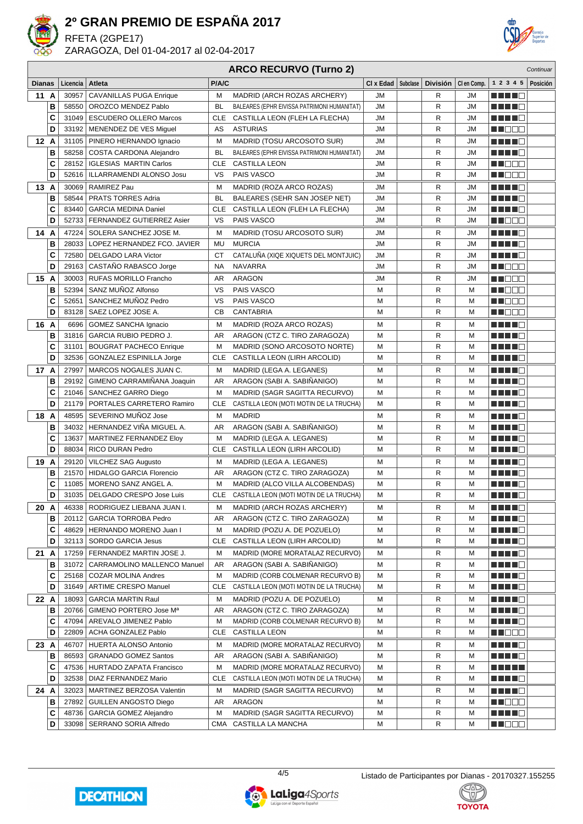

RFETA (2GPE17)

ZARAGOZA, Del 01-04-2017 al 02-04-2017



### **ARCO RECURVO (Turno 2)**

|                |        |                |                                                              |            | ARGO REGORYO (TUMO Z)                                                       |                      |                 |             |                                                                                                               | Continual |
|----------------|--------|----------------|--------------------------------------------------------------|------------|-----------------------------------------------------------------------------|----------------------|-----------------|-------------|---------------------------------------------------------------------------------------------------------------|-----------|
| <b>Dianas</b>  |        | Licencia       | Atleta                                                       | P/A/C      |                                                                             | CI x Edad   Subclase | <b>División</b> | CI en Comp. | 1 2 3 4 5                                                                                                     | Posición  |
| 11 A           |        | 30957          | <b>CAVANILLAS PUGA Enrique</b>                               | M          | MADRID (ARCH ROZAS ARCHERY)                                                 | <b>JM</b>            | R               | JM          | a kata ing Kabupatèn Kabu                                                                                     |           |
|                | В      | 58550          | OROZCO MENDEZ Pablo                                          | BL         | BALEARES (EPHR EIVISSA PATRIMONI HUMANITAT)                                 | JМ                   | R               | JM          | H H H O                                                                                                       |           |
|                | C      | 31049          | <b>ESCUDERO OLLERO Marcos</b>                                | CLE        | CASTILLA LEON (FLEH LA FLECHA)                                              | JМ                   | R               | JM          | <u> HELL</u>                                                                                                  |           |
|                | D      | 33192          | MENENDEZ DE VES Miguel                                       | AS         | <b>ASTURIAS</b>                                                             | JМ                   | $\mathsf{R}$    | JM          | M D D D                                                                                                       |           |
| 12A            |        | 31105          | PINERO HERNANDO Ignacio                                      | M          | MADRID (TOSU ARCOSOTO SUR)                                                  | JМ                   | R               | JM          | MA MARIT                                                                                                      |           |
|                | В      | 58258          | COSTA CARDONA Alejandro                                      | BL         | BALEARES (EPHR EIVISSA PATRIMONI HUMANITAT)                                 | JМ                   | R               | JM          | <u> Listo de la </u>                                                                                          |           |
|                | C      | 28152          | <b>IGLESIAS MARTIN Carlos</b>                                | CLE        | <b>CASTILLA LEON</b>                                                        | JМ                   | R               | JM          | en 1919 en 1919 en 1919 en 1919 en 1919 en 1919 en 1919 en 1919 en 1919 en 1919 en 1919 en 1919 en 1919 en 19 |           |
|                | D      | 52616          | ILLARRAMENDI ALONSO Josu                                     | vs         | PAIS VASCO                                                                  | <b>JM</b>            | R               | JM          | M DOO                                                                                                         |           |
| 13 A           |        | 30069          | <b>RAMIREZ Pau</b>                                           | м          | MADRID (ROZA ARCO ROZAS)                                                    | JМ                   | R               | JM          | HH H O                                                                                                        |           |
|                | В      | 58544          | <b>PRATS TORRES Adria</b>                                    | BL         | BALEARES (SEHR SAN JOSEP NET)                                               | <b>JM</b>            | R               | JM          |                                                                                                               |           |
|                | C      | 83440          | <b>GARCIA MEDINA Daniel</b>                                  | CLE        | CASTILLA LEON (FLEH LA FLECHA)                                              | JМ                   | R               | JM          | a di kacamatan Ing                                                                                            |           |
|                | D      | 52733          | FERNANDEZ GUTIERREZ Asier                                    | VS         | PAIS VASCO                                                                  | JМ                   | $\mathsf{R}$    | JM          | <u> HILLE</u>                                                                                                 |           |
| 14 A           |        | 47224          | SOLERA SANCHEZ JOSE M.                                       | M          | MADRID (TOSU ARCOSOTO SUR)                                                  | <b>JM</b>            | R               | JM          | MA MARIT                                                                                                      |           |
|                | В      | 28033          | LOPEZ HERNANDEZ FCO. JAVIER                                  | MU         | <b>MURCIA</b>                                                               | <b>JM</b>            | $\mathsf{R}$    | <b>JM</b>   | MA MARIT                                                                                                      |           |
|                | C      | 72580          | <b>DELGADO LARA Victor</b>                                   | <b>CT</b>  | CATALUÑA (XIQE XIQUETS DEL MONTJUIC)                                        | JМ                   | R               | JM          | MA MARIT                                                                                                      |           |
|                | D      | 29163          | CASTAÑO RABASCO Jorge                                        | NA         | <b>NAVARRA</b>                                                              | <b>JM</b>            | R               | JM          | <u> Literatu</u>                                                                                              |           |
| 15 A           |        | 30003          | <b>RUFAS MORILLO Francho</b>                                 | AR         | <b>ARAGON</b>                                                               | JМ                   | R               | JM          | M DO D                                                                                                        |           |
|                | в      | 52394          | SANZ MUÑOZ Alfonso                                           | VS         | PAIS VASCO                                                                  | М                    | R               | М           | n Tibela                                                                                                      |           |
|                | C      | 52651          | SANCHEZ MUÑOZ Pedro                                          | VS         | PAIS VASCO                                                                  | М                    | R               | М           | MU O O O                                                                                                      |           |
|                | D      | 83128          | SAEZ LOPEZ JOSE A.                                           | CВ         | <b>CANTABRIA</b>                                                            | М                    | R               | М           | MT E E E                                                                                                      |           |
| 16 A           |        | 6696           | <b>GOMEZ SANCHA Ignacio</b>                                  | M          | MADRID (ROZA ARCO ROZAS)                                                    | М                    | R               | м           | 88 H H H                                                                                                      |           |
|                | в      | 31816          | GARCIA RUBIO PEDRO J.                                        | AR         | ARAGON (CTZ C. TIRO ZARAGOZA)                                               | М                    | R               | М           | MA MARIT                                                                                                      |           |
|                | C      | 31101          | <b>BOUGRAT PACHECO Enrique</b>                               | M          | MADRID (SONO ARCOSOTO NORTE)                                                | М                    | R               | М           | <u>Literatur</u>                                                                                              |           |
|                | D      | 32536          | GONZALEZ ESPINILLA Jorge                                     | <b>CLE</b> | CASTILLA LEON (LIRH ARCOLID)                                                | М                    | $\mathsf{R}$    | М           | a da bi b                                                                                                     |           |
| 17 A           |        | 27997          | MARCOS NOGALES JUAN C.                                       | M          | MADRID (LEGA A. LEGANES)                                                    | М                    | R               | М           | MAN DI L                                                                                                      |           |
|                | В      | 29192          | GIMENO CARRAMINANA Joaquin                                   | AR         | ARAGON (SABI A. SABIÑANIGO)                                                 | М                    | R               | М           | <u> Listo de la </u>                                                                                          |           |
|                | C      |                | 21046   SANCHEZ GARRO Diego                                  | М          | MADRID (SAGR SAGITTA RECURVO)                                               | М                    | R               | М           |                                                                                                               |           |
|                | D      | 21179          | PORTALES CARRETERO Ramiro                                    | <b>CLE</b> | CASTILLA LEON (MOTI MOTIN DE LA TRUCHA)                                     | М                    | R               | М           | HH H O                                                                                                        |           |
| 18 A           |        | 48595          | SEVERINO MUÑOZ Jose                                          | М          | <b>MADRID</b>                                                               | М                    | R               | М           | HH H O                                                                                                        |           |
|                | В      | 34032          | HERNANDEZ VIÑA MIGUEL A.                                     | AR         | ARAGON (SABI A. SABIÑANIGO)                                                 | М                    | R               | М           | MA MARIT                                                                                                      |           |
|                | C      | 13637          | MARTINEZ FERNANDEZ Eloy                                      | M          | MADRID (LEGA A. LEGANES)                                                    | М                    | $\mathsf{R}$    | M           | MA MARIT                                                                                                      |           |
|                | D      | 88034          | RICO DURAN Pedro                                             | CLE        | CASTILLA LEON (LIRH ARCOLID)                                                | М                    | $\mathsf{R}$    | M           | a di kacamatan Ing                                                                                            |           |
| 19 A           |        |                | 29120   VILCHEZ SAG Augusto                                  | M          | MADRID (LEGA A. LEGANES)                                                    | М                    | R               | М           | MA MAR                                                                                                        |           |
|                | В      | 21570          | <b>HIDALGO GARCIA Florencio</b>                              | AR         | ARAGON (CTZ C. TIRO ZARAGOZA)                                               | М                    | R               | M           | a di Bandar                                                                                                   |           |
|                | C      | 11085          | MORENO SANZ ANGEL A.                                         | M          | MADRID (ALCO VILLA ALCOBENDAS)                                              | М                    | R               | М           | MA MARI                                                                                                       |           |
|                | D      |                | 31035   DELGADO CRESPO Jose Luis                             | CLE        | CASTILLA LEON (MOTI MOTIN DE LA TRUCHA)                                     | М                    | R               | M           | <u> Literatura de la pro</u>                                                                                  |           |
| 20 A           |        |                | 46338   RODRIGUEZ LIEBANA JUAN I.                            | М          | MADRID (ARCH ROZAS ARCHERY)                                                 | М                    | R               | М           | ME E E G                                                                                                      |           |
|                | в      |                | 20112   GARCIA TORROBA Pedro                                 | AR         | ARAGON (CTZ C. TIRO ZARAGOZA)                                               | м                    | R               | М           | <u> Here i Br</u>                                                                                             |           |
|                | С<br>D |                | 48629   HERNANDO MORENO Juan I<br>32113   SORDO GARCIA Jesus | м          | MADRID (POZU A. DE POZUELO)                                                 | м                    | R               | М           | <u>Liele Lie</u>                                                                                              |           |
|                |        |                |                                                              | CLE        | CASTILLA LEON (LIRH ARCOLID)                                                | М                    | R               | М           | <u>Literatu</u>                                                                                               |           |
| $21 \text{ A}$ |        |                | 17259   FERNANDEZ MARTIN JOSE J.                             | м          | MADRID (MORE MORATALAZ RECURVO)<br>ARAGON (SABI A. SABIÑANIGO)              | м                    | R               | М           | <u>Literatu</u>                                                                                               |           |
|                | в      | 31072          | CARRAMOLINO MALLENCO Manuel                                  | AR         |                                                                             | М                    | R               | М           | <u> Literatura e</u>                                                                                          |           |
|                | С<br>D | 25168<br>31649 | COZAR MOLINA Andres<br><b>ARTIME CRESPO Manuel</b>           | М<br>CLE   | MADRID (CORB COLMENAR RECURVO B)<br>CASTILLA LEON (MOTI MOTIN DE LA TRUCHA) | М<br>М               | R<br>R          | М<br>М      | <u> Literatur</u><br>MA HA MAR                                                                                |           |
|                |        |                |                                                              |            |                                                                             |                      |                 |             |                                                                                                               |           |
| 22 A           |        | 18093<br>20766 | <b>GARCIA MARTIN Raul</b><br>GIMENO PORTERO Jose Mª          | М<br>AR    | MADRID (POZU A. DE POZUELO)<br>ARAGON (CTZ C. TIRO ZARAGOZA)                | М<br>М               | R<br>R          | М<br>М      | <u>Litro de </u>                                                                                              |           |
|                | в<br>С | 47094          | AREVALO JIMENEZ Pablo                                        | М          | MADRID (CORB COLMENAR RECURVO B)                                            | М                    | R               | М           | <u>Lihat dan</u><br><u> Helena de la p</u>                                                                    |           |
|                | D      | 22809          | ACHA GONZALEZ Pablo                                          | CLE        | <b>CASTILLA LEON</b>                                                        | м                    | R               | М           | <u> Hall de la </u>                                                                                           |           |
| 23 A           |        | 46707          | HUERTA ALONSO Antonio                                        | м          | MADRID (MORE MORATALAZ RECURVO)                                             | М                    | R               | М           | <u>Little B</u>                                                                                               |           |
|                | в      | 86593          | <b>GRANADO GOMEZ Santos</b>                                  | AR         | ARAGON (SABI A. SABIÑANIGO)                                                 | М                    | R               | М           | <u> Literatura de la </u>                                                                                     |           |
|                | C      | 47536          | <b>HURTADO ZAPATA Francisco</b>                              | М          | MADRID (MORE MORATALAZ RECURVO)                                             | М                    | R               | М           | <u> Literatur</u>                                                                                             |           |
|                | D      | 32538          | DIAZ FERNANDEZ Mario                                         | CLE        | CASTILLA LEON (MOTI MOTIN DE LA TRUCHA)                                     | М                    | R               | М           | <u> Here al Ba</u>                                                                                            |           |
| 24 A           |        |                | 32023   MARTINEZ BERZOSA Valentin                            | M          | MADRID (SAGR SAGITTA RECURVO)                                               | М                    | R               | М           | a da kasa                                                                                                     |           |
|                | в      | 27892          | <b>GUILLEN ANGOSTO Diego</b>                                 | AR         | ARAGON                                                                      | М                    | R               | М           | MU DE S                                                                                                       |           |
|                | C      | 48736          | <b>GARCIA GOMEZ Alejandro</b>                                | M          | MADRID (SAGR SAGITTA RECURVO)                                               | М                    | $\mathsf{R}$    | М           | a da bi b                                                                                                     |           |
|                | D      |                | 33098   SERRANO SORIA Alfredo                                |            | CMA CASTILLA LA MANCHA                                                      | М                    | R               | М           | <u> HILLEN</u>                                                                                                |           |
|                |        |                |                                                              |            |                                                                             |                      |                 |             |                                                                                                               |           |